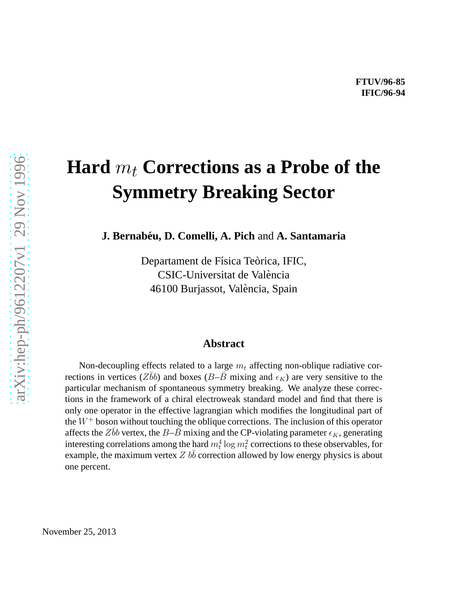## **Hard**  $m_t$  **Corrections as a Probe of the Symmetry Breaking Sector**

**J. Bernabeu, D. Comelli, A. Pich ´** and **A. Santamaria**

Departament de Física Teòrica, IFIC, CSIC-Universitat de Valencia ` 46100 Burjassot, Valencia, Spain `

## **Abstract**

Non-decoupling effects related to a large  $m_t$  affecting non-oblique radiative corrections in vertices (Zbb) and boxes (B–B mixing and  $\epsilon_K$ ) are very sensitive to the particular mechanism of spontaneous symmetry breaking. We analyze these corrections in the framework of a chiral electroweak standard model and find that there is only one operator in the effective lagrangian which modifies the longitudinal part of the  $W^+$  boson without touching the oblique corrections. The inclusion of this operator affects the Zbb vertex, the B–B mixing and the CP-violating parameter  $\epsilon_K$ , generating interesting correlations among the hard  $m_t^4 \log m_t^2$  corrections to these observables, for example, the maximum vertex  $Z b\bar{b}$  correction allowed by low energy physics is about one percent.

November 25, 2013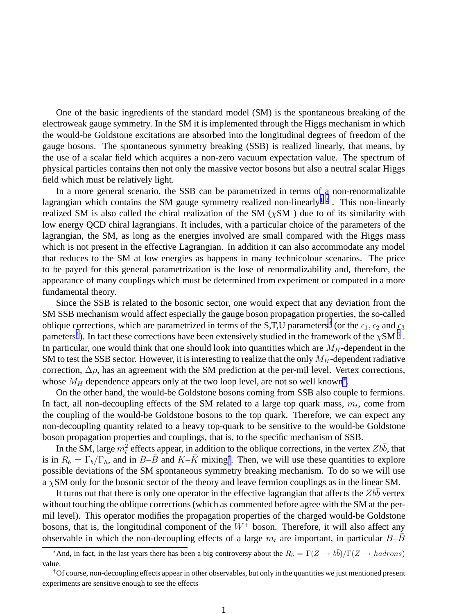One of the basic ingredients of the standard model (SM) is the spontaneous breaking of the electroweak gauge symmetry. In the SM it is implemented through the Higgs mechanism in which the would-be Goldstone excitations are absorbed into the longitudinal degrees of freedom of the gauge bosons. The spontaneous symmetry breaking (SSB) is realized linearly, that means, by the use of a scalar field which acquires a non-zero vacuum expectation value. The spectrum of physical particles contains then not only the massive vector bosons but also a neutral scalar Higgs field which must be relatively light.

In a more general scenario, the SSB can be parametrized in terms of a non-renormalizable lagrangian which contains the SM gauge symmetry realized non-linearly<sup>1,2</sup>. This non-linearly realized SM is also called the chiral realization of the SM ( $\chi$ SM) due to of its similarity with low energy QCD chiral lagrangians. It includes, with a particular choice of the parameters of the lagrangian, the SM, as long as the energies involved are small compared with the Higgs mass which is not present in the effective Lagrangian. In addition it can also accommodate any model that reduces to the SM at low energies as happens in many technicolour scenarios. The price to be payed for this general parametrization is the lose of renormalizability and, therefore, the appearance of many couplings which must be determined from experiment or computed in a more fundamental theory.

Since the SSB is related to the bosonic sector, one would expect that any deviation from the SM SSB mechanism would affect especially the gauge boson propagation properties, the so-called oblique corrections, which are parametrized in terms of the S,T,U parameters<sup>[3](#page-6-0)</sup> (or the  $\epsilon_1$ ,  $\epsilon_2$  and  $\epsilon_3$ pameters<sup>[4](#page-6-0)</sup>). In fact these corrections have been extensively studied in the framework of the  $\chi{\rm SM}$  <sup>[5](#page-6-0)</sup> . In particular, one would think that one should look into quantities which are  $M_H$ -dependent in the SM to test the SSB sector. However, it is interesting to realize that the only  $M_H$ -dependent radiative correction,  $\Delta \rho$ , has an agreement with the SM prediction at the per-mil level. Vertex corrections, whose  $M_H$  dependence appears only at the two loop level, are not so well known<sup>\*</sup>.

On the other hand, the would-be Goldstone bosons coming from SSB also couple to fermions. In fact, all non-decoupling effects of the SM related to a large top quark mass,  $m_t$ , come from the coupling of the would-be Goldstone bosons to the top quark. Therefore, we can expect any non-decoupling quantity related to a heavy top-quark to be sensitive to the would-be Goldstone boson propagation properties and couplings, that is, to the specific mechanism of SSB.

In the SM, large  $m_t^2$  effects appear, in addition to the oblique corrections, in the vertex  $Zb\bar{b}$ , that is in  $R_b = \Gamma_b/\Gamma_h$ , and in  $B-\bar{B}$  and  $K-\bar{K}$  mixing<sup>†</sup>. Then, we will use these quantities to explore possible deviations of the SM spontaneous symmetry breaking mechanism. To do so we will use a  $\chi$ SM only for the bosonic sector of the theory and leave fermion couplings as in the linear SM.

It turns out that there is only one operator in the effective lagrangian that affects the  $Zbb$ without touching the oblique corrections (which as commented before agree with the SM at the permil level). This operator modifies the propagation properties of the charged would-be Goldstone bosons, that is, the longitudinal component of the  $W^+$  boson. Therefore, it will also affect any observable in which the non-decoupling effects of a large  $m_t$  are important, in particular  $B-B$ 

<sup>\*</sup>And, in fact, in the last years there has been a big controversy about the  $R_b = \Gamma(Z \to b\bar{b})/\Gamma(Z \to hadrons)$ value.

<sup>&</sup>lt;sup>†</sup>Of course, non-decoupling effects appear in other observables, but only in the quantities we just mentioned present experiments are sensitive enough to see the effects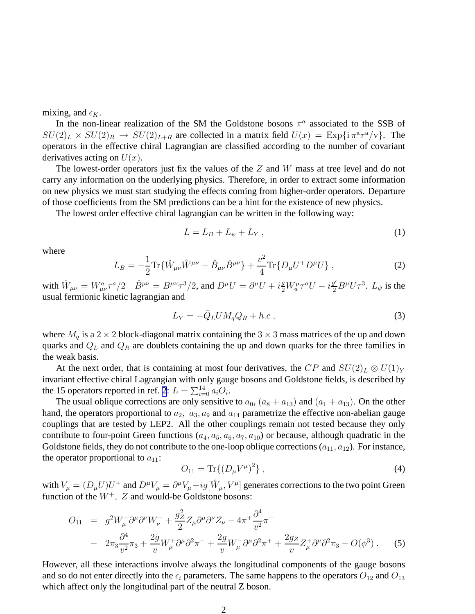<span id="page-2-0"></span>mixing, and  $\epsilon_K$ .

In the non-linear realization of the SM the Goldstone bosons  $\pi^a$  associated to the SSB of  $SU(2)_L \times SU(2)_R \rightarrow SU(2)_{L+R}$  are collected in a matrix field  $U(x) = \text{Exp}\{i \pi^a \tau^a/v\}$ . The operators in the effective chiral Lagrangian are classified according to the number of covariant derivatives acting on  $U(x)$ .

The lowest-order operators just fix the values of the Z and W mass at tree level and do not carry any information on the underlying physics. Therefore, in order to extract some information on new physics we must start studying the effects coming from higher-order operators. Departure of those coefficients from the SM predictions can be a hint for the existence of new physics.

The lowest order effective chiral lagrangian can be written in the following way:

$$
L = L_B + L_{\psi} + L_Y, \qquad (1)
$$

where

$$
L_B = -\frac{1}{2} \text{Tr} \{ \hat{W}_{\mu\nu} \hat{W}^{\mu\nu} + \hat{B}_{\mu\nu} \hat{B}^{\mu\nu} \} + \frac{v^2}{4} \text{Tr} \{ D_{\mu} U^+ D^{\mu} U \} , \qquad (2)
$$

with  $\hat{W}_{\mu\nu} = W_{\mu\nu}^a \tau^a/2$   $\hat{B}^{\mu\nu} = B^{\mu\nu}\tau^3/2$ , and  $D^{\mu}U = \partial^{\mu}U + i\frac{g}{2}W_{a}^{\mu}\tau^aU - i\frac{g'}{2}B^{\mu}U\tau^3$ .  $L_{\psi}$  is the usual fermionic kinetic lagrangian and

$$
L_Y = -\bar{Q}_L U M_q Q_R + h.c , \qquad (3)
$$

where  $M_q$  is a 2 × 2 block-diagonal matrix containing the 3 × 3 mass matrices of the up and down quarks and  $Q_L$  and  $Q_R$  are doublets containing the up and down quarks for the three families in the weak basis.

At the next order, that is containing at most four derivatives, the CP and  $SU(2)_L \otimes U(1)_Y$ invariant effective chiral Lagrangian with only gauge bosons and Goldstone fields, is described by the 15 operators reported in ref. [2](#page-6-0):  $L = \sum_{i=0}^{14} a_i O_i$ .

The usual oblique corrections are only sensitive to  $a_0$ ,  $(a_8 + a_{13})$  and  $(a_1 + a_{13})$ . On the other hand, the operators proportional to  $a_2$ ,  $a_3$ ,  $a_9$  and  $a_{14}$  parametrize the effective non-abelian gauge couplings that are tested by LEP2. All the other couplings remain not tested because they only contribute to four-point Green functions  $(a_4, a_5, a_6, a_7, a_{10})$  or because, although quadratic in the Goldstone fields, they do not contribute to the one-loop oblique corrections  $(a_{11}, a_{12})$ . For instance, the operator proportional to  $a_{11}$ :

$$
O_{11} = \text{Tr}\{(D_{\mu}V^{\mu})^2\},\tag{4}
$$

with  $V_\mu = (D_\mu U)U^+$  and  $D^\mu V_\mu = \partial^\mu V_\mu + ig[\hat{W}_\mu, V^\mu]$  generates corrections to the two point Green function of the  $W^+$ ,  $Z$  and would-be Goldstone bosons:

$$
O_{11} = g^2 W^+_\mu \partial^\mu \partial^\nu W^-_\nu + \frac{g_Z^2}{2} Z_\mu \partial^\mu \partial^\nu Z_\nu - 4\pi^+ \frac{\partial^4}{v^2} \pi^- - 2\pi_3 \frac{\partial^4}{v^2} \pi_3 + \frac{2g}{v} W^+_\mu \partial^\mu \partial^2 \pi^- + \frac{2g}{v} W^-_\mu \partial^\mu \partial^2 \pi^+ + \frac{2g_Z}{v} Z^+_\mu \partial^\mu \partial^2 \pi_3 + O(\phi^3) .
$$
 (5)

However, all these interactions involve always the longitudinal components of the gauge bosons and so do not enter directly into the  $\epsilon_i$  parameters. The same happens to the operators  $O_{12}$  and  $O_{13}$ which affect only the longitudinal part of the neutral Z boson.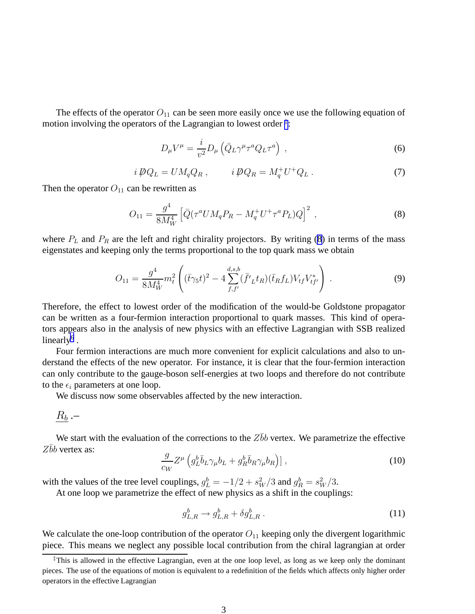The effects of the operator  $O_{11}$  can be seen more easily once we use the following equation of motion involving the operators of the Lagrangian to lowest order  $\ddagger$ :

$$
D_{\mu}V^{\mu} = \frac{i}{v^2}D_{\mu}\left(\bar{Q}_{L}\gamma^{\mu}\tau^{a}Q_{L}\tau^{a}\right) ,\qquad (6)
$$

$$
i\,\not{\!\!D} Q_L = U M_q Q_R \,, \qquad i\,\not{\!\!D} Q_R = M_q^+ U^+ Q_L \,. \tag{7}
$$

Then the operator  $O_{11}$  can be rewritten as

$$
O_{11} = \frac{g^4}{8M_W^4} \left[ \bar{Q} (\tau^a U M_q P_R - M_q^+ U^+ \tau^a P_L) Q \right]^2 \,, \tag{8}
$$

where  $P_L$  and  $P_R$  are the left and right chirality projectors. By writing (8) in terms of the mass eigenstates and keeping only the terms proportional to the top quark mass we obtain

$$
O_{11} = \frac{g^4}{8M_W^4} m_t^2 \left( (\bar{t}\gamma_5 t)^2 - 4 \sum_{f,f'}^{d,s,b} (\bar{f'}_L t_R)(\bar{t}_R f_L) V_{tf} V_{tf'}^* \right) . \tag{9}
$$

Therefore, the effect to lowest order of the modification of the would-be Goldstone propagator can be written as a four-fermion interaction proportional to quark masses. This kind of operators appears also in the analysis of new physics with an effective Lagrangian with SSB realized linearly $<sup>6</sup>$  $<sup>6</sup>$  $<sup>6</sup>$ .</sup>

Four fermion interactions are much more convenient for explicit calculations and also to understand the effects of the new operator. For instance, it is clear that the four-fermion interaction can only contribute to the gauge-boson self-energies at two loops and therefore do not contribute to the  $\epsilon_i$  parameters at one loop.

We discuss now some observables affected by the new interaction.

$$
\underline{R_b} \, . -
$$

We start with the evaluation of the corrections to the  $Z\bar{b}b$  vertex. We parametrize the effective  $Z\bar{b}b$  vertex as:

$$
\frac{g}{c_W} Z^{\mu} \left( g_L^b \overline{b}_L \gamma_{\mu} b_L + g_R^b \overline{b}_R \gamma_{\mu} b_R \right) ] \,, \tag{10}
$$

with the values of the tree level couplings,  $g_L^b = -1/2 + s_W^2/3$  and  $g_R^b = s_W^2/3$ .

At one loop we parametrize the effect of new physics as a shift in the couplings:

$$
g_{L,R}^b \to g_{L,R}^b + \delta g_{L,R}^b \,. \tag{11}
$$

We calculate the one-loop contribution of the operator  $O_{11}$  keeping only the divergent logarithmic piece. This means we neglect any possible local contribution from the chiral lagrangian at order

<sup>‡</sup>This is allowed in the effective Lagrangian, even at the one loop level, as long as we keep only the dominant pieces. The use of the equations of motion is equivalent to a redefinition of the fields which affects only higher order operators in the effective Lagrangian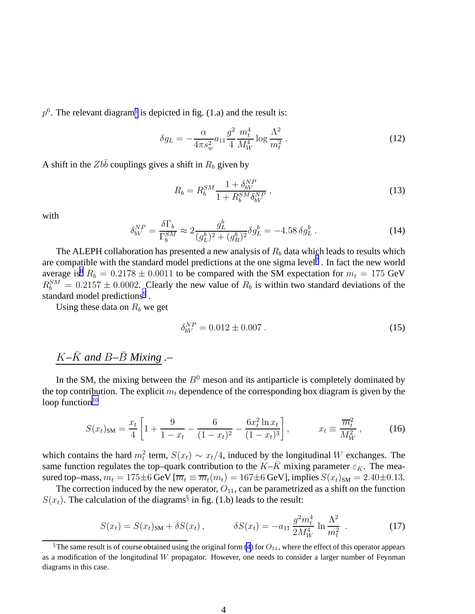<span id="page-4-0"></span> $p<sup>6</sup>$ . The relevant diagram<sup>§</sup> is depicted in fig. (1.a) and the result is:

$$
\delta g_L = -\frac{\alpha}{4\pi s_w^2} a_{11} \frac{g^2}{4} \frac{m_t^4}{M_W^4} \log \frac{\Lambda^2}{m_t^2} \,. \tag{12}
$$

A shift in the  $Zb\bar{b}$  couplings gives a shift in  $R_b$  given by

$$
R_b = R_b^{SM} \frac{1 + \delta_{bV}^{NP}}{1 + R_b^{SM} \delta_{bV}^{NP}},
$$
\n(13)

with

$$
\delta_{bV}^{NP} = \frac{\delta \Gamma_b}{\Gamma_b^{SM}} \approx 2 \frac{g_L^b}{(g_L^b)^2 + (g_R^b)^2} \delta g_L^b = -4.58 \delta g_L^b \,. \tag{14}
$$

The ALEPH collaboration has presented a new analysis of  $R_b$  data which leads to results which are compatible with the standard model predictions at the one sigma level<sup>[7](#page-6-0)</sup>. In fact the new world average is<sup>[8](#page-6-0)</sup>  $R_b = 0.2178 \pm 0.0011$  to be compared with the SM expectation for  $m_t = 175$  GeV  $R_b^{SM} = 0.2157 \pm 0.0002$ . Clearly the new value of  $R_b$  is within two standard deviations of the standard model predictions<sup>[9](#page-6-0)</sup>.

Using these data on  $R_b$  we get

$$
\delta_{bV}^{NP} = 0.012 \pm 0.007 \,. \tag{15}
$$

## $K-\bar{K}$  and  $B-\bar{B}$  *Mixing* .–

In the SM, the mixing between the  $B^0$  meson and its antiparticle is completely dominated by the top contribution. The explicit  $m_t$  dependence of the corresponding box diagram is given by the loop function $10$ 

$$
S(x_t)_{\text{SM}} = \frac{x_t}{4} \left[ 1 + \frac{9}{1 - x_t} - \frac{6}{(1 - x_t)^2} - \frac{6x_t^2 \ln x_t}{(1 - x_t)^3} \right], \qquad x_t \equiv \frac{\overline{m}_t^2}{M_W^2}, \qquad (16)
$$

which contains the hard  $m_t^2$  term,  $S(x_t) \sim x_t/4$ , induced by the longitudinal W exchanges. The same function regulates the top–quark contribution to the  $K-\bar{K}$  mixing parameter  $\varepsilon_K$ . The measured top–mass,  $m_t = 175 \pm 6$  GeV  $[\overline{m_t} \equiv \overline{m_t}(m_t) = 167 \pm 6$  GeV], implies  $S(x_t)_{\text{SM}} = 2.40 \pm 0.13$ .

The correction induced by the new operator,  $O_{11}$ , can be parametrized as a shift on the function  $S(x_t)$ . The calculation of the diagrams<sup>§</sup> in fig. (1.b) leads to the result:

$$
S(x_t) = S(x_t)_{\text{SM}} + \delta S(x_t), \qquad \delta S(x_t) = -a_{11} \frac{g^2 m_t^4}{2M_W^4} \ln \frac{\Lambda^2}{m_t^2} \tag{17}
$$

 $§$ The same result is of course obtained using the original form [\(4](#page-2-0)) for  $O_{11}$ , where the effect of this operator appears as a modification of the longitudinal W propagator. However, one needs to consider a larger number of Feynman diagrams in this case.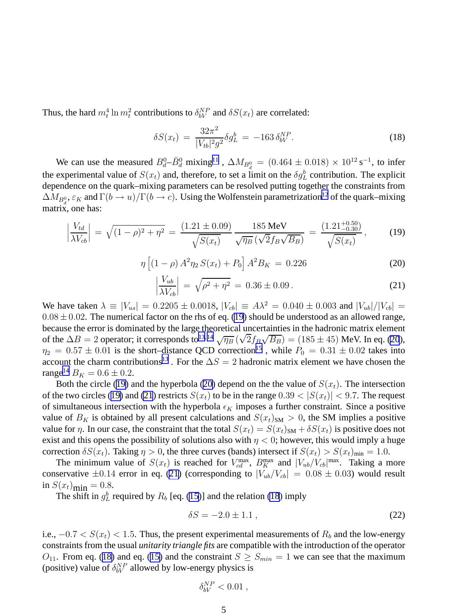Thus, the hard  $m_t^4 \ln m_t^2$  contributions to  $\delta_{bV}^{NP}$  and  $\delta S(x_t)$  are correlated:

$$
\delta S(x_t) = \frac{32\pi^2}{|V_{tb}|^2 g^2} \delta g_L^b = -163 \delta_{bV}^{NP}.
$$
\n(18)

We can use the measured  $B_d^0 - \bar{B}_d^0$  mixing<sup>[11](#page-6-0)</sup>,  $\Delta M_{B_d^0} = (0.464 \pm 0.018) \times 10^{12} \text{ s}^{-1}$ , to infer the experimental value of  $S(x_t)$  and, therefore, to set a limit on the  $\delta g_L^b$  contribution. The explicit dependence on the quark–mixing parameters can be resolved putting together the constraints from  $\Delta M_{B^0_d}, \varepsilon_K$  and  $\Gamma(b\to u)/\Gamma(b\to c).$  Using the Wolfenstein parametrization<sup>[12](#page-6-0)</sup> of the quark–mixing matrix, one has:

$$
\left|\frac{V_{td}}{\lambda V_{cb}}\right| = \sqrt{(1-\rho)^2 + \eta^2} = \frac{(1.21 \pm 0.09)}{\sqrt{S(x_t)}} \frac{185 \text{ MeV}}{\sqrt{\eta_B} \left(\sqrt{2}f_B\sqrt{B_B}\right)} = \frac{(1.21^{+0.50}_{-0.30})}{\sqrt{S(x_t)}},\tag{19}
$$

$$
\eta \left[ (1 - \rho) A^2 \eta_2 S(x_t) + P_0 \right] A^2 B_K = 0.226 \tag{20}
$$

$$
\left|\frac{V_{ub}}{\lambda V_{cb}}\right| = \sqrt{\rho^2 + \eta^2} = 0.36 \pm 0.09. \tag{21}
$$

We have taken  $\lambda \equiv |V_{us}| = 0.2205 \pm 0.0018$ ,  $|V_{cb}| \equiv A\lambda^2 = 0.040 \pm 0.003$  and  $|V_{ub}|/|V_{cb}| =$  $0.08 \pm 0.02$ . The numerical factor on the rhs of eq. (19) should be understood as an allowed range, because the error is dominated by the large theoretical uncertainties in the hadronic matrix element of the  $\Delta B = 2$  operator; it corresponds to<sup>13,14</sup>  $\sqrt{\eta_B} (\sqrt{2} f_B \sqrt{B_B}) = (185 \pm 45)$  MeV. In eq. (20),  $\eta_2 = 0.57 \pm 0.01$  is the short–distance QCD correction<sup>[15](#page-7-0)</sup>, while  $P_0 = 0.31 \pm 0.02$  takes into account the charm contributions<sup>[13](#page-7-0)</sup>. For the  $\Delta S = 2$  hadronic matrix element we have chosen the range<sup>[14](#page-7-0)</sup>  $B_K = 0.6 \pm 0.2$ .

Both the circle (19) and the hyperbola (20) depend on the the value of  $S(x_t)$ . The intersection of the two circles (19) and (21) restricts  $S(x_t)$  to be in the range  $0.39 < |S(x_t)| < 9.7$ . The request of simultaneous intersection with the hyperbola  $\epsilon_K$  imposes a further constraint. Since a positive value of  $B_K$  is obtained by all present calculations and  $S(x_t)_{\text{SM}} > 0$ , the SM implies a positive value for  $\eta$ . In our case, the constraint that the total  $S(x_t) = S(x_t)_{\text{SM}} + \delta S(x_t)$  is positive does not exist and this opens the possibility of solutions also with  $\eta < 0$ ; however, this would imply a huge correction  $\delta S(x_t)$ . Taking  $\eta > 0$ , the three curves (bands) intersect if  $S(x_t) > S(x_t)_{\text{min}} = 1.0$ .

The minimum value of  $S(x_t)$  is reached for  $V_{cd}^{\text{max}}$ ,  $B_K^{\text{max}}$  and  $|V_{ub}/V_{cb}|^{\text{max}}$ . Taking a more conservative  $\pm 0.14$  error in eq. (21) (corresponding to  $|V_{ub}/V_{cb}| = 0.08 \pm 0.03$ ) would result in  $S(x_t)_{\text{min}} = 0.8$ .

The shift in  $g_L^b$  required by  $R_b$  [eq. [\(15](#page-4-0))] and the relation (18) imply

$$
\delta S = -2.0 \pm 1.1 \,, \tag{22}
$$

i.e.,  $-0.7 < S(x_t) < 1.5$ . Thus, the present experimental measurements of  $R_b$  and the low-energy constraints from the usual *unitarity triangle fits* are compatible with the introduction of the operator  $O_{11}$ . From eq. (18) and eq. ([15\)](#page-4-0) and the constraint  $S \geq S_{min} = 1$  we can see that the maximum (positive) value of  $\delta_{bV}^{NP}$  allowed by low-energy physics is

$$
\delta_{bV}^{NP} < 0.01 \; ,
$$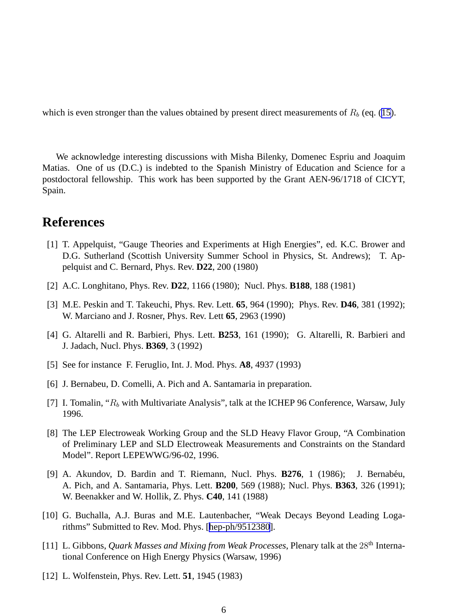<span id="page-6-0"></span>which is even stronger than the values obtained by present direct measurements of  $R_b$  (eq. ([15\)](#page-4-0).

We acknowledge interesting discussions with Misha Bilenky, Domenec Espriu and Joaquim Matias. One of us (D.C.) is indebted to the Spanish Ministry of Education and Science for a postdoctoral fellowship. This work has been supported by the Grant AEN-96/1718 of CICYT, Spain.

## **References**

- [1] T. Appelquist, "Gauge Theories and Experiments at High Energies", ed. K.C. Brower and D.G. Sutherland (Scottish University Summer School in Physics, St. Andrews); T. Appelquist and C. Bernard, Phys. Rev. **D22**, 200 (1980)
- [2] A.C. Longhitano, Phys. Rev. **D22**, 1166 (1980); Nucl. Phys. **B188**, 188 (1981)
- [3] M.E. Peskin and T. Takeuchi, Phys. Rev. Lett. **65**, 964 (1990); Phys. Rev. **D46**, 381 (1992); W. Marciano and J. Rosner, Phys. Rev. Lett **65**, 2963 (1990)
- [4] G. Altarelli and R. Barbieri, Phys. Lett. **B253**, 161 (1990); G. Altarelli, R. Barbieri and J. Jadach, Nucl. Phys. **B369**, 3 (1992)
- [5] See for instance F. Feruglio, Int. J. Mod. Phys. **A8**, 4937 (1993)
- [6] J. Bernabeu, D. Comelli, A. Pich and A. Santamaria in preparation.
- [7] I. Tomalin, " $R_b$  with Multivariate Analysis", talk at the ICHEP 96 Conference, Warsaw, July 1996.
- [8] The LEP Electroweak Working Group and the SLD Heavy Flavor Group, "A Combination of Preliminary LEP and SLD Electroweak Measurements and Constraints on the Standard Model". Report LEPEWWG/96-02, 1996.
- [9] A. Akundov, D. Bardin and T. Riemann, Nucl. Phys. **B276**, 1 (1986); J. Bernabéu, A. Pich, and A. Santamaria, Phys. Lett. **B200**, 569 (1988); Nucl. Phys. **B363**, 326 (1991); W. Beenakker and W. Hollik, Z. Phys. **C40**, 141 (1988)
- [10] G. Buchalla, A.J. Buras and M.E. Lautenbacher, "Weak Decays Beyond Leading Logarithms" Submitted to Rev. Mod. Phys. [[hep-ph/9512380](http://arxiv.org/abs/hep-ph/9512380)].
- [11] L. Gibbons, *Quark Masses and Mixing from Weak Processes*, Plenary talk at the 28<sup>th</sup> International Conference on High Energy Physics (Warsaw, 1996)
- [12] L. Wolfenstein, Phys. Rev. Lett. **51**, 1945 (1983)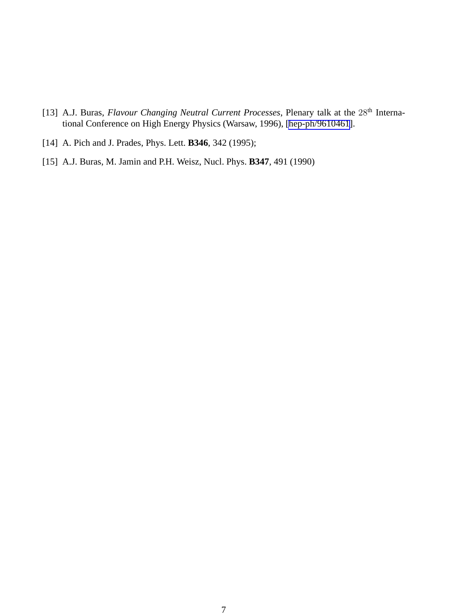- <span id="page-7-0"></span>[13] A.J. Buras, *Flavour Changing Neutral Current Processes*, Plenary talk at the 28<sup>th</sup> International Conference on High Energy Physics (Warsaw, 1996), [\[hep-ph/9610461\]](http://arxiv.org/abs/hep-ph/9610461).
- [14] A. Pich and J. Prades, Phys. Lett. **B346**, 342 (1995);
- [15] A.J. Buras, M. Jamin and P.H. Weisz, Nucl. Phys. **B347**, 491 (1990)